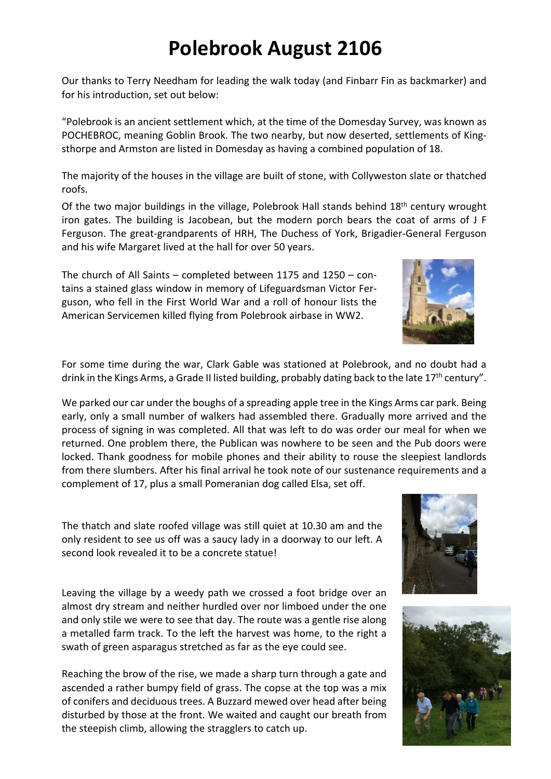## **Polebrook August 2106**

Our thanks to Terry Needham for leading the walk today (and Finbarr Fin as backmarker) and for his introduction, set out below:

"Polebrook is an ancient settlement which, at the time of the Domesday Survey, was known as POCHEBROC, meaning Goblin Brook. The two nearby, but now deserted, settlements of Kingsthorpe and Armston are listed in Domesday as having a combined population of 18.

The majority of the houses in the village are built of stone, with Collyweston slate or thatched roofs.

Of the two major buildings in the village, Polebrook Hall stands behind  $18<sup>th</sup>$  century wrought iron gates. The building is Jacobean, but the modern porch bears the coat of arms of J F Ferguson. The great-grandparents of HRH, The Duchess of York, Brigadier-General Ferguson and his wife Margaret lived at the hall for over 50 years.

The church of All Saints – completed between 1175 and 1250 – contains a stained glass window in memory of Lifeguardsman Victor Ferguson, who fell in the First World War and a roll of honour lists the American Servicemen killed flying from Polebrook airbase in WW2.

For some time during the war, Clark Gable was stationed at Polebrook, and no doubt had a drink in the Kings Arms, a Grade II listed building, probably dating back to the late 17<sup>th</sup> century".

We parked our car under the boughs of a spreading apple tree in the Kings Arms car park. Being early, only a small number of walkers had assembled there. Gradually more arrived and the process of signing in was completed. All that was left to do was order our meal for when we returned. One problem there, the Publican was nowhere to be seen and the Pub doors were locked. Thank goodness for mobile phones and their ability to rouse the sleepiest landlords from there slumbers. After his final arrival he took note of our sustenance requirements and a complement of 17, plus a small Pomeranian dog called Elsa, set off.

The thatch and slate roofed village was still quiet at 10.30 am and the only resident to see us off was a saucy lady in a doorway to our left. A second look revealed it to be a concrete statue!

Leaving the village by a weedy path we crossed a foot bridge over an almost dry stream and neither hurdled over nor limboed under the one and only stile we were to see that day. The route was a gentle rise along a metalled farm track. To the left the harvest was home, to the right a swath of green asparagus stretched as far as the eye could see.

Reaching the brow of the rise, we made a sharp turn through a gate and ascended a rather bumpy field of grass. The copse at the top was a mix of conifers and deciduous trees. A Buzzard mewed over head after being disturbed by those at the front. We waited and caught our breath from the steepish climb, allowing the stragglers to catch up.